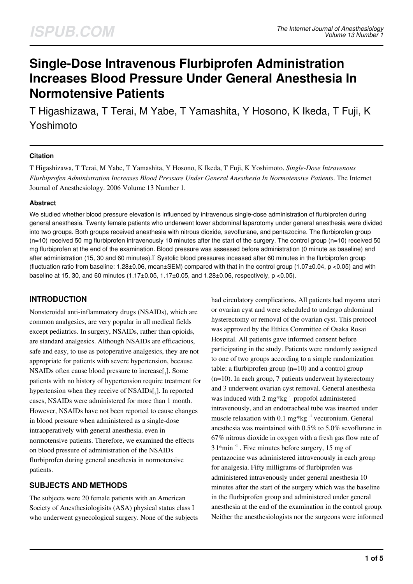# **Single-Dose Intravenous Flurbiprofen Administration Increases Blood Pressure Under General Anesthesia In Normotensive Patients**

T Higashizawa, T Terai, M Yabe, T Yamashita, Y Hosono, K Ikeda, T Fuji, K Yoshimoto

#### **Citation**

T Higashizawa, T Terai, M Yabe, T Yamashita, Y Hosono, K Ikeda, T Fuji, K Yoshimoto. *Single-Dose Intravenous Flurbiprofen Administration Increases Blood Pressure Under General Anesthesia In Normotensive Patients*. The Internet Journal of Anesthesiology. 2006 Volume 13 Number 1.

#### **Abstract**

We studied whether blood pressure elevation is influenced by intravenous single-dose administration of flurbiprofen during general anesthesia. Twenty female patients who underwent lower abdominal laparotomy under general anesthesia were divided into two groups. Both groups received anesthesia with nitrous dioxide, sevoflurane, and pentazocine. The flurbiprofen group  $(n=10)$  received 50 mg flurbiprofen intravenously 10 minutes after the start of the surgery. The control group  $(n=10)$  received 50 mg flurbiprofen at the end of the examination. Blood pressure was assessed before administration (0 minute as baseline) and after administration (15, 30 and 60 minutes). If Systolic blood pressures inceased after 60 minutes in the flurbiprofen group (fluctuation ratio from baseline: 1.28±0.06, mean±SEM) compared with that in the control group (1.07±0.04, p <0.05) and with baseline at 15, 30, and 60 minutes (1.17±0.05, 1.17±0.05, and 1.28±0.06, respectively, p <0.05).

## **INTRODUCTION**

Nonsteroidal anti-inflammatory drugs (NSAIDs), which are common analgesics, are very popular in all medical fields except pediatrics. In surgery, NSAIDs, rather than opioids, are standard analgesics. Although NSAIDs are efficacious, safe and easy, to use as potoperative analgesics, they are not appropriate for patients with severe hypertension, because NSAIDs often cause blood pressure to increase[1]. Some patients with no history of hypertension require treatment for hypertension when they receive of NSAIDs[2]. In reported cases, NSAIDs were administered for more than 1 month. However, NSAIDs have not been reported to cause changes in blood pressure when administered as a single-dose intraoperatively with general anesthesia, even in normotensive patients. Therefore, we examined the effects on blood pressure of administration of the NSAIDs flurbiprofen during general anesthesia in normotensive patients.

## **SUBJECTS AND METHODS**

The subjects were 20 female patients with an American Society of Anesthesiologisits (ASA) physical status class I who underwent gynecological surgery. None of the subjects had circulatory complications. All patients had myoma uteri or ovarian cyst and were scheduled to undergo abdominal hysterectomy or removal of the ovarian cyst. This protocol was approved by the Ethics Committee of Osaka Rosai Hospital. All patients gave informed consent before participating in the study. Patients were randomly assigned to one of two groups according to a simple randomization table: a flurbiprofen group (n=10) and a control group (n=10). In each group, 7 patients underwent hysterectomy and 3 underwent ovarian cyst removal. General anesthesia was induced with  $2 \text{ mg*kg}^{-1}$  propofol administered intravenously, and an endotracheal tube was inserted under muscle relaxation with 0.1 mg\*kg $^{-1}$  vecuronium. General anesthesia was maintained with 0.5% to 5.0% sevoflurane in 67% nitrous dioxide in oxygen with a fresh gas flow rate of  $31*min^{-1}$ . Five minutes before surgery, 15 mg of pentazocine was administered intravenously in each group for analgesia. Fifty milligrams of flurbiprofen was administered intravenously under general anesthesia 10 minutes after the start of the surgery which was the baseline in the flurbiprofen group and administered under general anesthesia at the end of the examination in the control group. Neither the anesthesiologists nor the surgeons were informed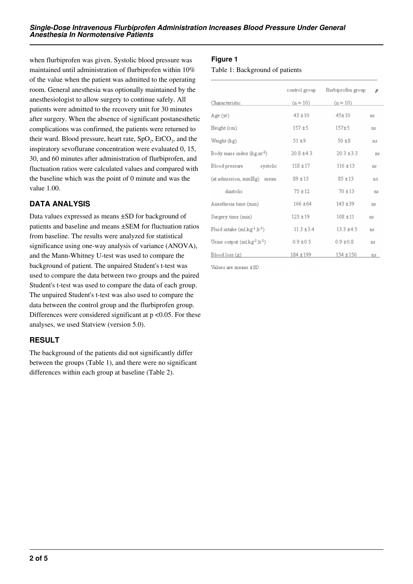when flurbiprofen was given. Systolic blood pressure was maintained until administration of flurbiprofen within 10% of the value when the patient was admitted to the operating room. General anesthesia was optionally maintained by the anesthesiologist to allow surgery to continue safely. All patients were admitted to the recovery unit for 30 minutes after surgery. When the absence of significant postanesthetic complications was confirmed, the patients were returned to their ward. Blood pressure, heart rate,  $SpO<sub>2</sub>$ , EtCO<sub>2</sub>, and the inspiratory sevoflurane concentration were evaluated 0, 15, 30, and 60 minutes after administration of flurbiprofen, and fluctuation ratios were calculated values and compared with the baseline which was the point of 0 minute and was the value 1.00.

### **DATA ANALYSIS**

Data values expressed as means ±SD for background of patients and baseline and means ±SEM for fluctuation ratios from baseline. The results were analyzed for statistical significance using one-way analysis of variance (ANOVA), and the Mann-Whitney U-test was used to compare the background of patient. The unpaired Student's t-test was used to compare the data between two groups and the paired Student's t-test was used to compare the data of each group. The unpaired Student's t-test was also used to compare the data between the control group and the flurbiprofen group. Differences were considered significant at  $p < 0.05$ . For these analyses, we used Statview (version 5.0).

## **RESULT**

The background of the patients did not significantly differ between the groups (Table 1), and there were no significant differences within each group at baseline (Table 2).

#### **Figure 1**

Table 1: Background of patients

|                                                      | control group  | flurbiprofen group | $\boldsymbol{p}$ |
|------------------------------------------------------|----------------|--------------------|------------------|
| Characteristic                                       | $(n = 10)$     | $(n = 10)$         |                  |
| Age (yr)                                             | $43 + 10$      | $45 + 10$          | ns               |
| Height (cm)                                          | $157 + 5$      | $157 + 5$          | ns               |
| Weight (kg)                                          | $51 + 9$       | $50 + 8$           | ns               |
| Body mass index (kg,m <sup>-2</sup> )                | $20.8 + 4.3$   | $20.3 \pm 3.3$     | ns               |
| Blood pressure systolic                              | $118 + 17$     | $116 \pm 13$       | ns               |
| (at admission, mmHg) mean                            | $89 + 13$      | $85 + 13$          | ns               |
| diastolic                                            | $75 + 12$      | $70 + 13$          | ns               |
| Anesthesia time (min)                                | $166 \pm 64$   | $143 + 39$         | ns               |
| Surgery time (min)                                   | $123 + 19$     | $108 + 11$         | ns               |
| Fluid intake (ml,kg <sup>-1</sup> ,h <sup>-1</sup> ) | $11.3 \pm 3.4$ | $13.3 \pm 4.5$     | ns               |
| Urine output $(m1 \text{kg}^{-1} \text{h}^{-1})$     | $0.9 \pm 0.5$  | $0.9 \pm 0.8$      | ns               |
| Blood loss (g)                                       | 184 ± 199      | $154 + 150$        | ns               |

Values are means ±SD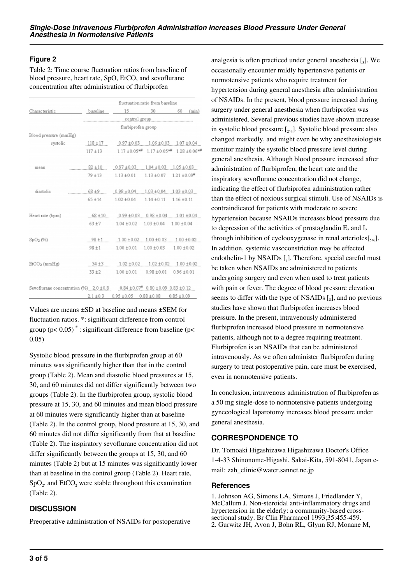#### **Figure 2**

Table 2: Time course fluctuation ratios from baseline of blood pressure, heart rate, SpO, EtCO, and sevoflurane concentration after administration of flurbiprofen

|                                                                             | fluctuation ratio from baseline                |                                                                                      |                                                 |                 |  |  |  |
|-----------------------------------------------------------------------------|------------------------------------------------|--------------------------------------------------------------------------------------|-------------------------------------------------|-----------------|--|--|--|
| Characteristic                                                              |                                                | baseline 15 30 60 (min)                                                              |                                                 |                 |  |  |  |
|                                                                             | control group                                  |                                                                                      |                                                 |                 |  |  |  |
|                                                                             |                                                | flurbiprofen group                                                                   |                                                 |                 |  |  |  |
| Blood pressure (mmHg)                                                       |                                                |                                                                                      |                                                 |                 |  |  |  |
| systolic                                                                    |                                                | $118 \pm 17$ 0.97 $\pm$ 0.03 1.06 $\pm$ 0.03 1.07 $\pm$ 0.04                         |                                                 |                 |  |  |  |
|                                                                             |                                                | $117 \pm 13$ $1.17 \pm 0.05$ $^{+4}$ $1.17 \pm 0.05$ $^{+4}$ $1.28 \pm 0.06$ $^{+4}$ |                                                 |                 |  |  |  |
| mean                                                                        |                                                | $82 \pm 10$ 0.97 $\pm$ 0.03 1.04 $\pm$ 0.03 1.05 $\pm$ 0.03                          |                                                 |                 |  |  |  |
|                                                                             |                                                | 79 ± 13 = 1.13 ± 0.01 = 1.13 ± 0.07 = 1.21 ± 0.09 <sup>*</sup>                       |                                                 |                 |  |  |  |
| diastolic                                                                   | $68 \pm 9$ 0.98 ± 0.04 1.03 ± 0.04 1.03 ± 0.03 |                                                                                      |                                                 |                 |  |  |  |
|                                                                             |                                                | $65 \pm 14$ $1.02 \pm 0.04$                                                          | $1.14 \pm 0.11$ $1.16 \pm 0.11$                 |                 |  |  |  |
| Heart rate (bpm)                                                            |                                                | 68 ± 10  0.99 ± 0.03  0.98 ± 0.04  1.01 ± 0.04                                       |                                                 |                 |  |  |  |
|                                                                             | $63 + 7$                                       |                                                                                      | $1.04 \pm 0.02$ $1.03 \pm 0.04$ $1.00 \pm 0.04$ |                 |  |  |  |
| SpO <sub>2</sub> (%)                                                        |                                                | $98 \pm 1$ 1.00 $\pm 0.02$ 1.00 $\pm 0.03$ 1.00 $\pm 0.02$                           |                                                 |                 |  |  |  |
|                                                                             | $98 \pm 1$                                     | $1.00 \pm 0.01$                                                                      | $1.00 \pm 0.03$                                 | $1.00 \pm 0.02$ |  |  |  |
| $EtCO2$ (mmHg)                                                              | $34 \pm 3$                                     | $1.02 \pm 0.02$ $1.02 \pm 0.02$ $1.00 \pm 0.02$                                      |                                                 |                 |  |  |  |
|                                                                             | $33 + 2$                                       |                                                                                      | $1.00 \pm 0.01$ 0.98 $\pm 0.01$ 0.96 $\pm 0.01$ |                 |  |  |  |
| Sevoflurane concentration (%) 2.0 ± 0.8 0.84 ± 0.07 0.80 ± 0.09 0.83 ± 0.12 |                                                |                                                                                      |                                                 |                 |  |  |  |
|                                                                             | $2.1 \pm 0.3$                                  | $0.95 \pm 0.05$ $0.88 \pm 0.08$ $0.85 \pm 0.09$                                      |                                                 |                 |  |  |  |

Values are means ±SD at baseline and means ±SEM for fluctuation ratios. \*: significant difference from control group (p< 0.05)<sup>#</sup>: significant difference from baseline (p< 0.05)

Systolic blood pressure in the flurbiprofen group at 60 minutes was significantly higher than that in the control group (Table 2). Mean and diastolic blood pressures at 15, 30, and 60 minutes did not differ significantly between two groups (Table 2). In the flurbiprofen group, systolic blood pressure at 15, 30, and 60 minutes and mean blood pressure at 60 minutes were significantly higher than at baseline (Table 2). In the control group, blood pressure at 15, 30, and 60 minutes did not differ significantly from that at baseline (Table 2). The inspiratory sevoflurane concentration did not differ significantly between the groups at 15, 30, and 60 minutes (Table 2) but at 15 minutes was significantly lower than at baseline in the control group (Table 2). Heart rate,  $SpO<sub>2</sub>$ , and EtCO<sub>2</sub> were stable throughout this examination (Table 2).

## **DISCUSSION**

Preoperative administration of NSAIDs for postoperative

analgesia is often practiced under general anesthesia  $\left[\right]_3$ . We occasionally encounter mildly hypertensive patients or normotensive patients who require treatment for hypertension during general anesthesia after administration of NSAIDs. In the present, blood pressure increased during surgery under general anesthesia when flurbiprofen was administered. Several previous studies have shown increase in systolic blood pressure  $[<sub>2</sub>,<sub>4</sub>].$  Systolic blood pressure also changed markedly, and might even be why anesthesiologists monitor mainly the systolic blood pressure level during general anesthesia. Although blood pressure increased after administration of flurbiprofen, the heart rate and the inspiratory sevoflurane concentration did not change, indicating the effect of flurbiprofen administration rather than the effect of noxious surgical stimuli. Use of NSAIDs is contraindicated for patients with moderate to severe hypertension because NSAIDs increases blood pressure due to depression of the activities of prostaglandin  $E_2$  and  $I_2$ through inhibition of cyclooxygenase in renal arterioles $[s,6]$ . In addition, systemic vasoconstriction may be effected endothelin-1 by NSAIDs  $[\,_7]$ . Therefore, special careful must be taken when NSAIDs are administered to patients undergoing surgery and even when used to treat patients with pain or fever. The degree of blood pressure elevation seems to differ with the type of NSAIDs  $\left[_{8}\right]$ , and no previous studies have shown that flurbiprofen increases blood pressure. In the present, intravenously administered flurbiprofen increased blood pressure in normotensive patients, although not to a degree requiring treatment. Flurbiprofen is an NSAIDs that can be administered intravenously. As we often administer flurbiprofen during surgery to treat postoperative pain, care must be exercised, even in normotensive patients.

In conclusion, intravenous administration of flurbiprofen as a 50 mg single-dose to normotensive patients undergoing gynecological laparotomy increases blood pressure under general anesthesia.

## **CORRESPONDENCE TO**

Dr. Tomoaki Higashizawa Higashizawa Doctor's Office 1-4-33 Shinonome-Higashi, Sakai-Kita, 591-8041, Japan email: zah\_clinic@water.sannet.ne.jp

#### **References**

1. Johnson AG, Simons LA, Simons J, Friedlander Y, McCallum J. Non-steroidal anti-inflammatory drugs and hypertension in the elderly: a community-based crosssectional study. Br Clin Pharmacol 1993;35:455-459. 2. Gurwitz JH, Avon J, Bohn RL, Glynn RJ, Monane M,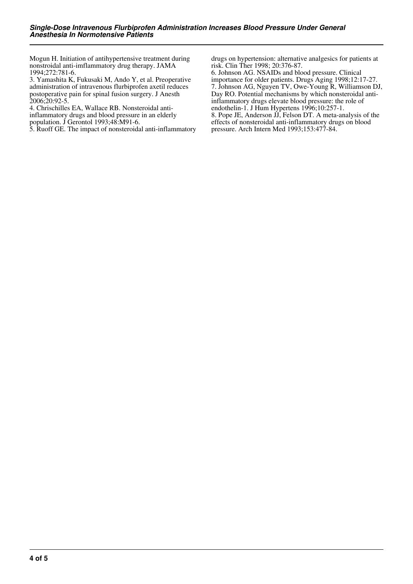Mogun H. Initiation of antihypertensive treatment during nonstroidal anti-imflammatory drug therapy. JAMA 1994;272:781-6.

3. Yamashita K, Fukusaki M, Ando Y, et al. Preoperative administration of intravenous flurbiprofen axetil reduces postoperative pain for spinal fusion surgery. J Anesth 2006;20:92-5.

4. Chrischilles EA, Wallace RB. Nonsteroidal antiinflammatory drugs and blood pressure in an elderly population. J Gerontol 1993;48:M91-6.

5. Ruoff GE. The impact of nonsteroidal anti-inflammatory

drugs on hypertension: alternative analgesics for patients at risk. Clin Ther 1998; 20:376-87.

6. Johnson AG. NSAIDs and blood pressure. Clinical importance for older patients. Drugs Aging 1998;12:17-27. 7. Johnson AG, Nguyen TV, Owe-Young R, Williamson DJ, Day RO. Potential mechanisms by which nonsteroidal antiinflammatory drugs elevate blood pressure: the role of endothelin-1. J Hum Hypertens 1996;10:257-1. 8. Pope JE, Anderson JJ, Felson DT. A meta-analysis of the effects of nonsteroidal anti-inflammatory drugs on blood pressure. Arch Intern Med 1993;153:477-84.